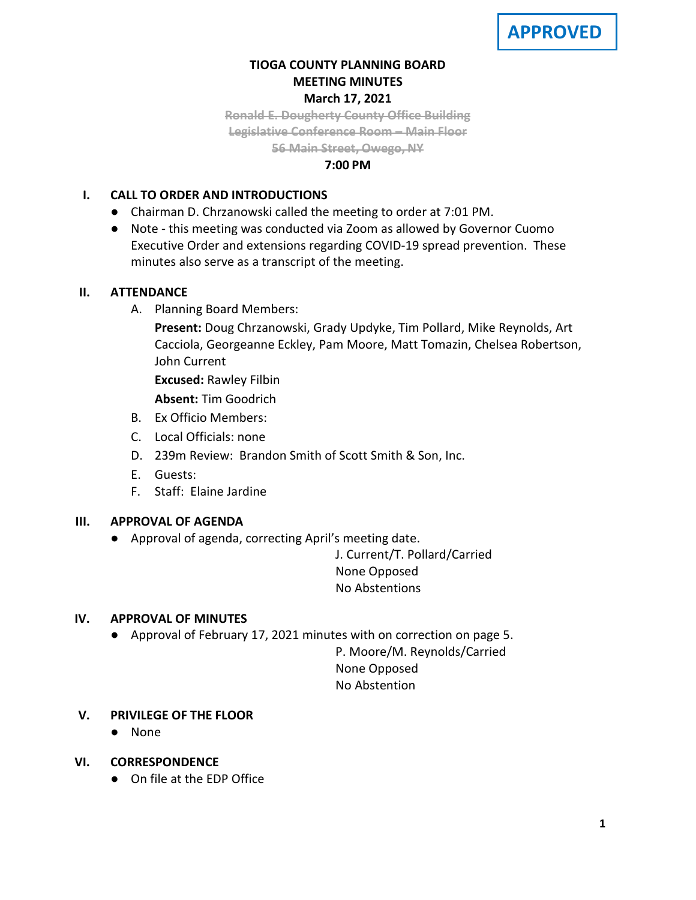### **TIOGA COUNTY PLANNING BOARD MEETING MINUTES March 17, 2021**

**Ronald E. Dougherty County Office Building Legislative Conference Room – Main Floor 56 Main Street, Owego, NY**

#### **7:00 PM**

### **I. CALL TO ORDER AND INTRODUCTIONS**

- Chairman D. Chrzanowski called the meeting to order at 7:01 PM.
- Note this meeting was conducted via Zoom as allowed by Governor Cuomo Executive Order and extensions regarding COVID-19 spread prevention. These minutes also serve as a transcript of the meeting.

### **II. ATTENDANCE**

A. Planning Board Members:

**Present:** Doug Chrzanowski, Grady Updyke, Tim Pollard, Mike Reynolds, Art Cacciola, Georgeanne Eckley, Pam Moore, Matt Tomazin, Chelsea Robertson, John Current

**Excused:** Rawley Filbin

**Absent:** Tim Goodrich

- B. Ex Officio Members:
- C. Local Officials: none
- D. 239m Review: Brandon Smith of Scott Smith & Son, Inc.
- E. Guests:
- F. Staff: Elaine Jardine

# **III. APPROVAL OF AGENDA**

● Approval of agenda, correcting April's meeting date.

J. Current/T. Pollard/Carried None Opposed No Abstentions

### **IV. APPROVAL OF MINUTES**

● Approval of February 17, 2021 minutes with on correction on page 5.

P. Moore/M. Reynolds/Carried None Opposed No Abstention

# **V. PRIVILEGE OF THE FLOOR**

- None
- **VI. CORRESPONDENCE**
	- On file at the EDP Office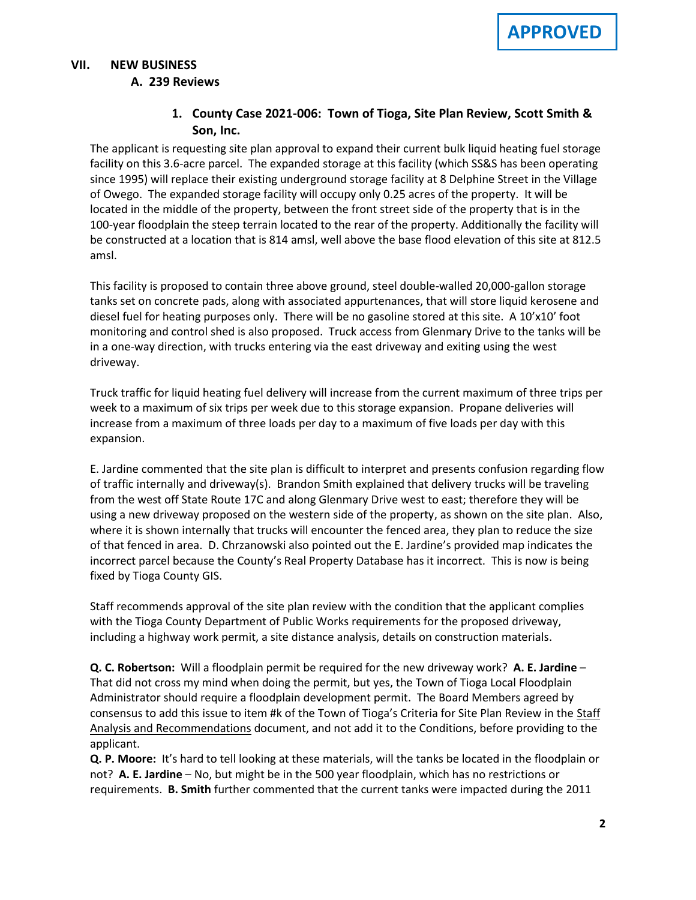### **VII. NEW BUSINESS A. A. 239 Reviews**

## **1. County Case 2021-006: Town of Tioga, Site Plan Review, Scott Smith & Son, Inc.**

The applicant is requesting site plan approval to expand their current bulk liquid heating fuel storage facility on this 3.6-acre parcel. The expanded storage at this facility (which SS&S has been operating since 1995) will replace their existing underground storage facility at 8 Delphine Street in the Village of Owego. The expanded storage facility will occupy only 0.25 acres of the property. It will be located in the middle of the property, between the front street side of the property that is in the 100-year floodplain the steep terrain located to the rear of the property. Additionally the facility will be constructed at a location that is 814 amsl, well above the base flood elevation of this site at 812.5 amsl.

This facility is proposed to contain three above ground, steel double-walled 20,000-gallon storage tanks set on concrete pads, along with associated appurtenances, that will store liquid kerosene and diesel fuel for heating purposes only. There will be no gasoline stored at this site. A 10'x10' foot monitoring and control shed is also proposed. Truck access from Glenmary Drive to the tanks will be in a one-way direction, with trucks entering via the east driveway and exiting using the west driveway.

Truck traffic for liquid heating fuel delivery will increase from the current maximum of three trips per week to a maximum of six trips per week due to this storage expansion. Propane deliveries will increase from a maximum of three loads per day to a maximum of five loads per day with this expansion.

E. Jardine commented that the site plan is difficult to interpret and presents confusion regarding flow of traffic internally and driveway(s). Brandon Smith explained that delivery trucks will be traveling from the west off State Route 17C and along Glenmary Drive west to east; therefore they will be using a new driveway proposed on the western side of the property, as shown on the site plan. Also, where it is shown internally that trucks will encounter the fenced area, they plan to reduce the size of that fenced in area. D. Chrzanowski also pointed out the E. Jardine's provided map indicates the incorrect parcel because the County's Real Property Database has it incorrect. This is now is being fixed by Tioga County GIS.

Staff recommends approval of the site plan review with the condition that the applicant complies with the Tioga County Department of Public Works requirements for the proposed driveway, including a highway work permit, a site distance analysis, details on construction materials.

**Q. C. Robertson:** Will a floodplain permit be required for the new driveway work? **A. E. Jardine** – That did not cross my mind when doing the permit, but yes, the Town of Tioga Local Floodplain Administrator should require a floodplain development permit. The Board Members agreed by consensus to add this issue to item #k of the Town of Tioga's Criteria for Site Plan Review in the Staff Analysis and Recommendations document, and not add it to the Conditions, before providing to the applicant.

**Q. P. Moore:** It's hard to tell looking at these materials, will the tanks be located in the floodplain or not? **A. E. Jardine** – No, but might be in the 500 year floodplain, which has no restrictions or requirements. **B. Smith** further commented that the current tanks were impacted during the 2011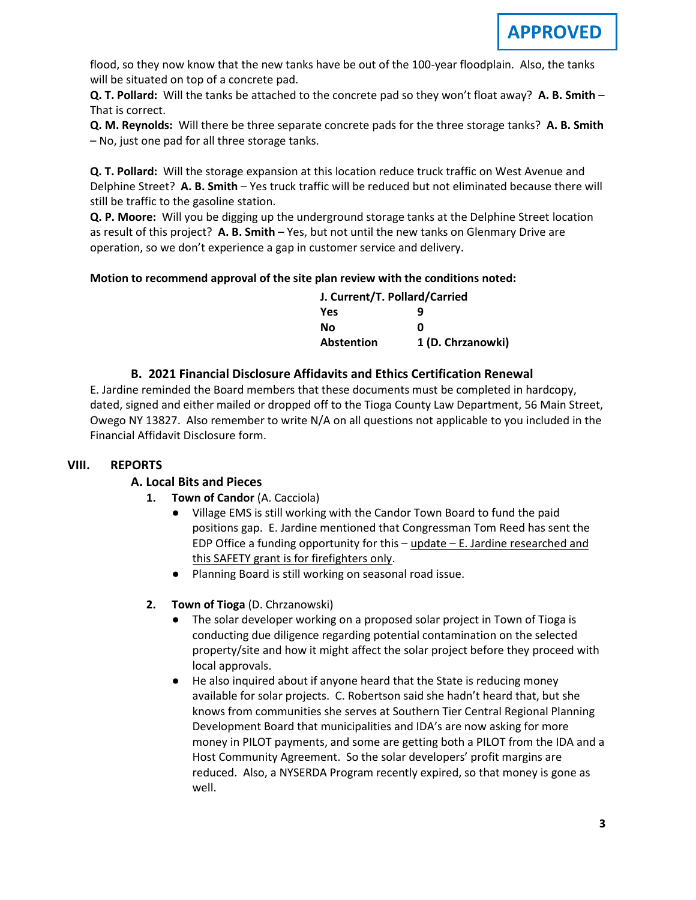flood, so they now know that the new tanks have be out of the 100-year floodplain. Also, the tanks will be situated on top of a concrete pad.

**Q. T. Pollard:** Will the tanks be attached to the concrete pad so they won't float away? **A. B. Smith** – That is correct.

**Q. M. Reynolds:** Will there be three separate concrete pads for the three storage tanks? **A. B. Smith** – No, just one pad for all three storage tanks.

**Q. T. Pollard:** Will the storage expansion at this location reduce truck traffic on West Avenue and Delphine Street? **A. B. Smith** – Yes truck traffic will be reduced but not eliminated because there will still be traffic to the gasoline station.

**Q. P. Moore:** Will you be digging up the underground storage tanks at the Delphine Street location as result of this project? **A. B. Smith** – Yes, but not until the new tanks on Glenmary Drive are operation, so we don't experience a gap in customer service and delivery.

#### **Motion to recommend approval of the site plan review with the conditions noted:**

| J. Current/T. Pollard/Carried |                   |
|-------------------------------|-------------------|
| <b>Yes</b>                    | q                 |
| Nο                            | ŋ                 |
| Abstention                    | 1 (D. Chrzanowki) |

### **B. B. 2021 Financial Disclosure Affidavits and Ethics Certification Renewal**

E. Jardine reminded the Board members that these documents must be completed in hardcopy, dated, signed and either mailed or dropped off to the Tioga County Law Department, 56 Main Street, Owego NY 13827. Also remember to write N/A on all questions not applicable to you included in the Financial Affidavit Disclosure form.

### **VIII. REPORTS**

### **A. A. Local Bits and Pieces**

- **1. Town of Candor** (A. Cacciola)
	- Village EMS is still working with the Candor Town Board to fund the paid positions gap. E. Jardine mentioned that Congressman Tom Reed has sent the EDP Office a funding opportunity for this – update – E. Jardine researched and this SAFETY grant is for firefighters only.
	- Planning Board is still working on seasonal road issue.
- **2. Town of Tioga** (D. Chrzanowski)
	- The solar developer working on a proposed solar project in Town of Tioga is conducting due diligence regarding potential contamination on the selected property/site and how it might affect the solar project before they proceed with local approvals.
	- He also inquired about if anyone heard that the State is reducing money available for solar projects. C. Robertson said she hadn't heard that, but she knows from communities she serves at Southern Tier Central Regional Planning Development Board that municipalities and IDA's are now asking for more money in PILOT payments, and some are getting both a PILOT from the IDA and a Host Community Agreement. So the solar developers' profit margins are reduced. Also, a NYSERDA Program recently expired, so that money is gone as well.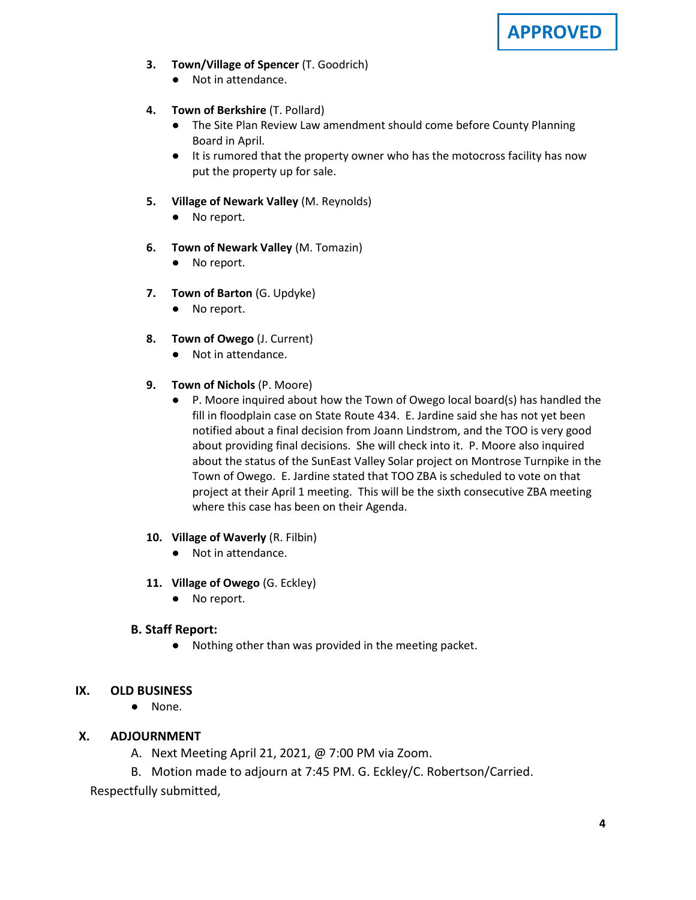**APPROVED**

- **3. Town/Village of Spencer** (T. Goodrich)
	- Not in attendance.
- **4. Town of Berkshire** (T. Pollard)
	- The Site Plan Review Law amendment should come before County Planning Board in April.
	- It is rumored that the property owner who has the motocross facility has now put the property up for sale.
- **5. Village of Newark Valley** (M. Reynolds)
	- No report.
- **6. Town of Newark Valley** (M. Tomazin)
	- No report.
- **7. Town of Barton** (G. Updyke)
	- No report.
- **8. Town of Owego** (J. Current)
	- Not in attendance.
- **9. Town of Nichols** (P. Moore)
	- P. Moore inquired about how the Town of Owego local board(s) has handled the fill in floodplain case on State Route 434. E. Jardine said she has not yet been notified about a final decision from Joann Lindstrom, and the TOO is very good about providing final decisions. She will check into it. P. Moore also inquired about the status of the SunEast Valley Solar project on Montrose Turnpike in the Town of Owego. E. Jardine stated that TOO ZBA is scheduled to vote on that project at their April 1 meeting. This will be the sixth consecutive ZBA meeting where this case has been on their Agenda.
- **10. Village of Waverly** (R. Filbin)
	- Not in attendance.
- **11. Village of Owego** (G. Eckley)
	- No report.

#### **B. Staff Report:**

● Nothing other than was provided in the meeting packet.

### **IX. OLD BUSINESS**

● None.

### **X. ADJOURNMENT**

A. Next Meeting April 21, 2021, @ 7:00 PM via Zoom.

B. Motion made to adjourn at 7:45 PM. G. Eckley/C. Robertson/Carried.

Respectfully submitted,